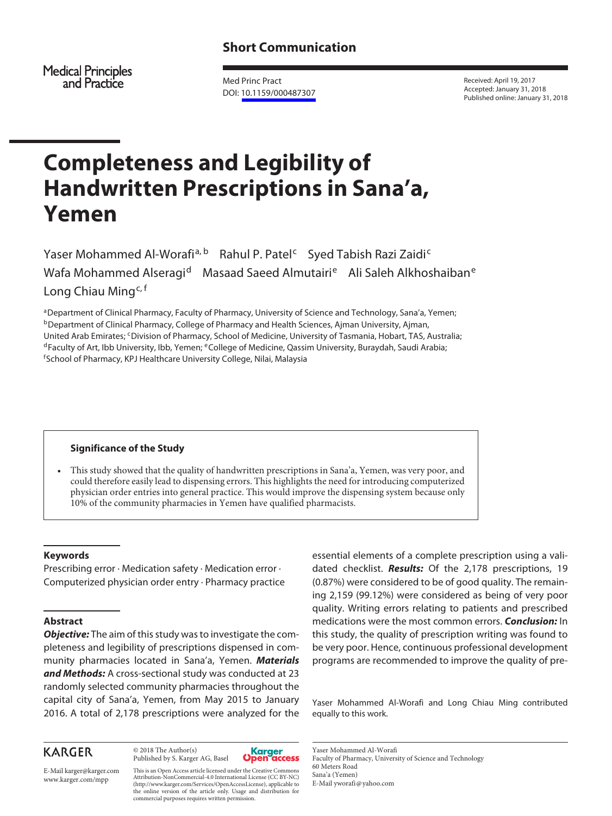Medical Principles<br>and Practice

Med Princ Pract DOI: [10.1159/000487307](http://dx.doi.org/10.1159%2F000487307)

Received: April 19, 2017 Accepted: January 31, 2018 Published online: January 31, 2018

# **Completeness and Legibility of Handwritten Prescriptions in Sana'a, Yemen**

Yaser Mohammed Al-Worafi<sup>a, b</sup> Rahul P. Patel<sup>c</sup> Syed Tabish Razi Zaidi<sup>c</sup> Wafa Mohammed Alseragid Masaad Saeed Almutairi<sup>e</sup> Ali Saleh Alkhoshaiban<sup>e</sup> Long Chiau Ming<sup>c, f</sup>

aDepartment of Clinical Pharmacy, Faculty of Pharmacy, University of Science and Technology, Sana'a, Yemen; <sup>b</sup>Department of Clinical Pharmacy, College of Pharmacy and Health Sciences, Ajman University, Ajman, United Arab Emirates; <sup>c</sup>Division of Pharmacy, School of Medicine, University of Tasmania, Hobart, TAS, Australia;<br><sup>d</sup>Faculty of Art, Ibb University, Ibb, Yemen; <sup>e</sup>College of Medicine, Qassim University, Buraydah, Saudi A School of Pharmacy, KPJ Healthcare University College, Nilai, Malaysia

# **Significance of the Study**

• This study showed that the quality of handwritten prescriptions in Sana'a, Yemen, was very poor, and could therefore easily lead to dispensing errors. This highlights the need for introducing computerized physician order entries into general practice. This would improve the dispensing system because only 10% of the community pharmacies in Yemen have qualified pharmacists.

# **Keywords**

Prescribing error · Medication safety · Medication error · Computerized physician order entry · Pharmacy practice

#### **Abstract**

*Objective:* The aim of this study was to investigate the completeness and legibility of prescriptions dispensed in community pharmacies located in Sana'a, Yemen. *Materials and Methods:* A cross-sectional study was conducted at 23 randomly selected community pharmacies throughout the capital city of Sana'a, Yemen, from May 2015 to January 2016. A total of 2,178 prescriptions were analyzed for the

# **KARGER**

© 2018 The Author(s) Published by S. Karger AG, Basel



E-Mail karger@karger.com www.karger.com/mpp

This is an Open Access article licensed under the Creative Commons Attribution-NonCommercial-4.0 International License (CC BY-NC) (http://www.karger.com/Services/OpenAccessLicense), applicable to the online version of the article only. Usage and distribution for commercial purposes requires written permission.

essential elements of a complete prescription using a validated checklist. *Results:* Of the 2,178 prescriptions, 19 (0.87%) were considered to be of good quality. The remaining 2,159 (99.12%) were considered as being of very poor quality. Writing errors relating to patients and prescribed medications were the most common errors. *Conclusion:* In this study, the quality of prescription writing was found to be very poor. Hence, continuous professional development programs are recommended to improve the quality of pre-

Yaser Mohammed Al-Worafi and Long Chiau Ming contributed equally to this work.

Yaser Mohammed Al-Worafi Faculty of Pharmacy, University of Science and Technology 60 Meters Road Sana'a (Yemen) E-Mail yworafi@yahoo.com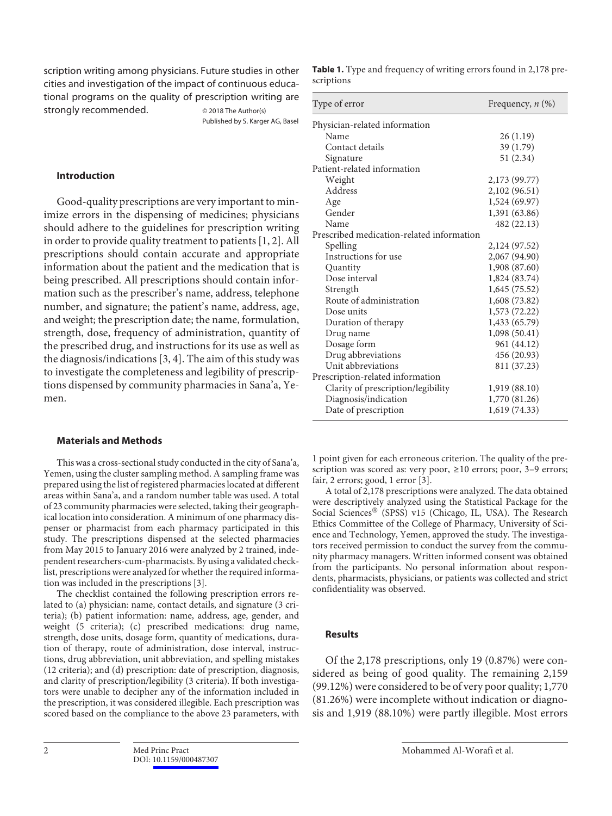scription writing among physicians. Future studies in other cities and investigation of the impact of continuous educational programs on the quality of prescription writing are strongly recommended.  $\qquad \qquad \circ$  2018 The Author(s)

Published by S. Karger AG, Basel

# **Introduction**

Good-quality prescriptions are very important to minimize errors in the dispensing of medicines; physicians should adhere to the guidelines for prescription writing in order to provide quality treatment to patients [1, 2]. All prescriptions should contain accurate and appropriate information about the patient and the medication that is being prescribed. All prescriptions should contain information such as the prescriber's name, address, telephone number, and signature; the patient's name, address, age, and weight; the prescription date; the name, formulation, strength, dose, frequency of administration, quantity of the prescribed drug, and instructions for its use as well as the diagnosis/indications [3, 4]. The aim of this study was to investigate the completeness and legibility of prescriptions dispensed by community pharmacies in Sana'a, Yemen.

#### **Materials and Methods**

This was a cross-sectional study conducted in the city of Sana'a, Yemen, using the cluster sampling method. A sampling frame was prepared using the list of registered pharmacies located at different areas within Sana'a, and a random number table was used. A total of 23 community pharmacies were selected, taking their geographical location into consideration. A minimum of one pharmacy dispenser or pharmacist from each pharmacy participated in this study. The prescriptions dispensed at the selected pharmacies from May 2015 to January 2016 were analyzed by 2 trained, independent researchers-cum-pharmacists. By using a validated checklist, prescriptions were analyzed for whether the required information was included in the prescriptions [3].

The checklist contained the following prescription errors related to (a) physician: name, contact details, and signature (3 criteria); (b) patient information: name, address, age, gender, and weight (5 criteria); (c) prescribed medications: drug name, strength, dose units, dosage form, quantity of medications, duration of therapy, route of administration, dose interval, instructions, drug abbreviation, unit abbreviation, and spelling mistakes (12 criteria); and (d) prescription: date of prescription, diagnosis, and clarity of prescription/legibility (3 criteria). If both investigators were unable to decipher any of the information included in the prescription, it was considered illegible. Each prescription was scored based on the compliance to the above 23 parameters, with

| Type of error                             | Frequency, $n$ $(\%)$ |
|-------------------------------------------|-----------------------|
| Physician-related information             |                       |
| Name                                      | 26(1.19)              |
| Contact details                           | 39 (1.79)             |
| Signature                                 | 51(2.34)              |
| Patient-related information               |                       |
| Weight                                    | 2,173 (99.77)         |
| Address                                   | 2,102 (96.51)         |
| Age                                       | 1,524 (69.97)         |
| Gender                                    | 1,391 (63.86)         |
| Name                                      | 482 (22.13)           |
| Prescribed medication-related information |                       |
| Spelling                                  | 2,124 (97.52)         |
| Instructions for use                      | 2,067 (94.90)         |
| Quantity                                  | 1,908 (87.60)         |
| Dose interval                             | 1,824 (83.74)         |
| Strength                                  | 1,645(75.52)          |
| Route of administration                   | 1,608 (73.82)         |
| Dose units                                | 1,573 (72.22)         |
| Duration of therapy                       | 1,433 (65.79)         |
| Drug name                                 | 1,098 (50.41)         |
| Dosage form                               | 961 (44.12)           |
| Drug abbreviations                        | 456 (20.93)           |
| Unit abbreviations                        | 811 (37.23)           |
| Prescription-related information          |                       |
| Clarity of prescription/legibility        | 1,919 (88.10)         |
| Diagnosis/indication                      | 1,770 (81.26)         |
| Date of prescription                      | 1,619 (74.33)         |

1 point given for each erroneous criterion. The quality of the prescription was scored as: very poor, ≥10 errors; poor, 3–9 errors; fair, 2 errors; good, 1 error [3].

A total of 2,178 prescriptions were analyzed. The data obtained were descriptively analyzed using the Statistical Package for the Social Sciences® (SPSS) v15 (Chicago, IL, USA). The Research Ethics Committee of the College of Pharmacy, University of Science and Technology, Yemen, approved the study. The investigators received permission to conduct the survey from the community pharmacy managers. Written informed consent was obtained from the participants. No personal information about respondents, pharmacists, physicians, or patients was collected and strict confidentiality was observed.

# **Results**

Of the 2,178 prescriptions, only 19 (0.87%) were considered as being of good quality. The remaining 2,159 (99.12%) were considered to be of very poor quality; 1,770 (81.26%) were incomplete without indication or diagnosis and 1,919 (88.10%) were partly illegible. Most errors